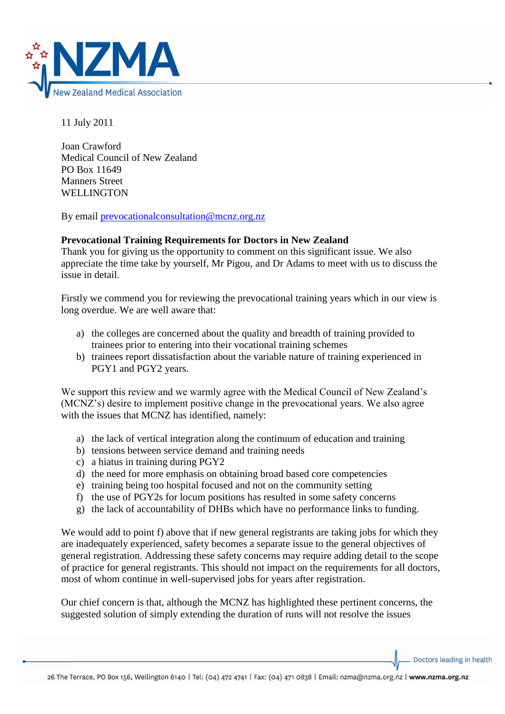

11 July 2011

Joan Crawford Medical Council of New Zealand PO Box 11649 Manners Street **WELLINGTON** 

By email [prevocationalconsultation@mcnz.org.nz](mailto:prevocationalconsultation@mcnz.org.nz)

# **Prevocational Training Requirements for Doctors in New Zealand**

Thank you for giving us the opportunity to comment on this significant issue. We also appreciate the time take by yourself, Mr Pigou, and Dr Adams to meet with us to discuss the issue in detail.

Firstly we commend you for reviewing the prevocational training years which in our view is long overdue. We are well aware that:

- a) the colleges are concerned about the quality and breadth of training provided to trainees prior to entering into their vocational training schemes
- b) trainees report dissatisfaction about the variable nature of training experienced in PGY1 and PGY2 years.

We support this review and we warmly agree with the Medical Council of New Zealand's (MCNZ's) desire to implement positive change in the prevocational years. We also agree with the issues that MCNZ has identified, namely:

- a) the lack of vertical integration along the continuum of education and training
- b) tensions between service demand and training needs
- c) a hiatus in training during PGY2
- d) the need for more emphasis on obtaining broad based core competencies
- e) training being too hospital focused and not on the community setting
- f) the use of PGY2s for locum positions has resulted in some safety concerns
- g) the lack of accountability of DHBs which have no performance links to funding.

We would add to point f) above that if new general registrants are taking jobs for which they are inadequately experienced, safety becomes a separate issue to the general objectives of general registration. Addressing these safety concerns may require adding detail to the scope of practice for general registrants. This should not impact on the requirements for all doctors, most of whom continue in well-supervised jobs for years after registration.

Our chief concern is that, although the MCNZ has highlighted these pertinent concerns, the suggested solution of simply extending the duration of runs will not resolve the issues

Doctors leading in health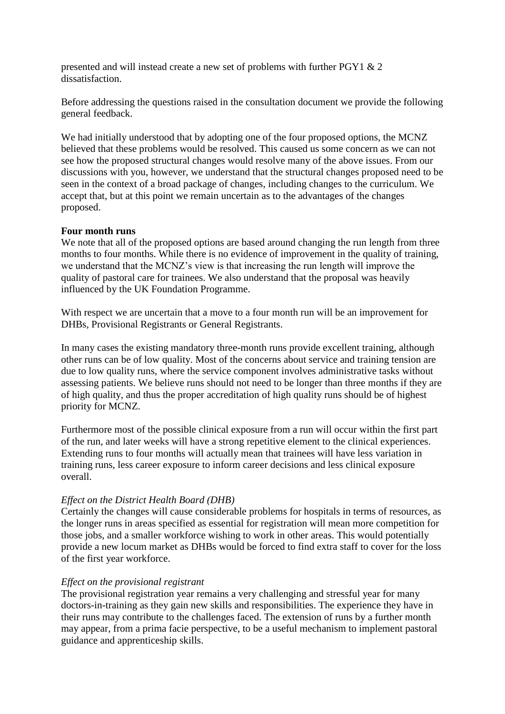presented and will instead create a new set of problems with further PGY1 & 2 dissatisfaction.

Before addressing the questions raised in the consultation document we provide the following general feedback.

We had initially understood that by adopting one of the four proposed options, the MCNZ believed that these problems would be resolved. This caused us some concern as we can not see how the proposed structural changes would resolve many of the above issues. From our discussions with you, however, we understand that the structural changes proposed need to be seen in the context of a broad package of changes, including changes to the curriculum. We accept that, but at this point we remain uncertain as to the advantages of the changes proposed.

## **Four month runs**

We note that all of the proposed options are based around changing the run length from three months to four months. While there is no evidence of improvement in the quality of training, we understand that the MCNZ's view is that increasing the run length will improve the quality of pastoral care for trainees. We also understand that the proposal was heavily influenced by the UK Foundation Programme.

With respect we are uncertain that a move to a four month run will be an improvement for DHBs, Provisional Registrants or General Registrants.

In many cases the existing mandatory three-month runs provide excellent training, although other runs can be of low quality. Most of the concerns about service and training tension are due to low quality runs, where the service component involves administrative tasks without assessing patients. We believe runs should not need to be longer than three months if they are of high quality, and thus the proper accreditation of high quality runs should be of highest priority for MCNZ.

Furthermore most of the possible clinical exposure from a run will occur within the first part of the run, and later weeks will have a strong repetitive element to the clinical experiences. Extending runs to four months will actually mean that trainees will have less variation in training runs, less career exposure to inform career decisions and less clinical exposure overall.

### *Effect on the District Health Board (DHB)*

Certainly the changes will cause considerable problems for hospitals in terms of resources, as the longer runs in areas specified as essential for registration will mean more competition for those jobs, and a smaller workforce wishing to work in other areas. This would potentially provide a new locum market as DHBs would be forced to find extra staff to cover for the loss of the first year workforce.

### *Effect on the provisional registrant*

The provisional registration year remains a very challenging and stressful year for many doctors-in-training as they gain new skills and responsibilities. The experience they have in their runs may contribute to the challenges faced. The extension of runs by a further month may appear, from a prima facie perspective, to be a useful mechanism to implement pastoral guidance and apprenticeship skills.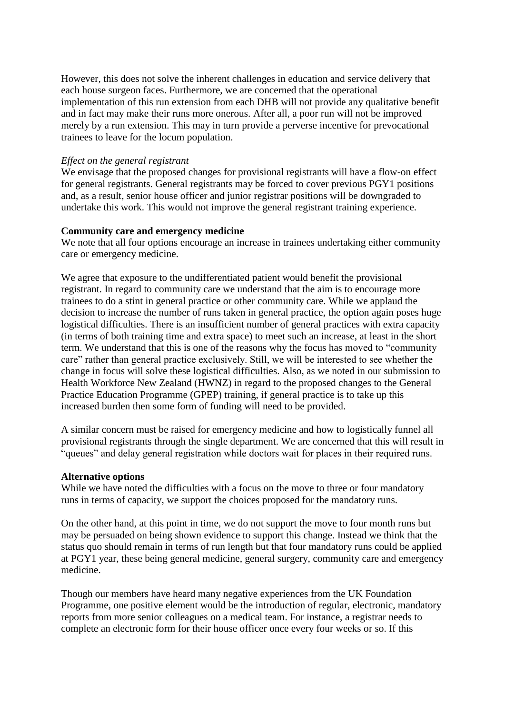However, this does not solve the inherent challenges in education and service delivery that each house surgeon faces. Furthermore, we are concerned that the operational implementation of this run extension from each DHB will not provide any qualitative benefit and in fact may make their runs more onerous. After all, a poor run will not be improved merely by a run extension. This may in turn provide a perverse incentive for prevocational trainees to leave for the locum population.

#### *Effect on the general registrant*

We envisage that the proposed changes for provisional registrants will have a flow-on effect for general registrants. General registrants may be forced to cover previous PGY1 positions and, as a result, senior house officer and junior registrar positions will be downgraded to undertake this work. This would not improve the general registrant training experience.

### **Community care and emergency medicine**

We note that all four options encourage an increase in trainees undertaking either community care or emergency medicine.

We agree that exposure to the undifferentiated patient would benefit the provisional registrant. In regard to community care we understand that the aim is to encourage more trainees to do a stint in general practice or other community care. While we applaud the decision to increase the number of runs taken in general practice, the option again poses huge logistical difficulties. There is an insufficient number of general practices with extra capacity (in terms of both training time and extra space) to meet such an increase, at least in the short term. We understand that this is one of the reasons why the focus has moved to "community care" rather than general practice exclusively. Still, we will be interested to see whether the change in focus will solve these logistical difficulties. Also, as we noted in our submission to Health Workforce New Zealand (HWNZ) in regard to the proposed changes to the General Practice Education Programme (GPEP) training, if general practice is to take up this increased burden then some form of funding will need to be provided.

A similar concern must be raised for emergency medicine and how to logistically funnel all provisional registrants through the single department. We are concerned that this will result in "queues" and delay general registration while doctors wait for places in their required runs.

#### **Alternative options**

While we have noted the difficulties with a focus on the move to three or four mandatory runs in terms of capacity, we support the choices proposed for the mandatory runs.

On the other hand, at this point in time, we do not support the move to four month runs but may be persuaded on being shown evidence to support this change. Instead we think that the status quo should remain in terms of run length but that four mandatory runs could be applied at PGY1 year, these being general medicine, general surgery, community care and emergency medicine.

Though our members have heard many negative experiences from the UK Foundation Programme, one positive element would be the introduction of regular, electronic, mandatory reports from more senior colleagues on a medical team. For instance, a registrar needs to complete an electronic form for their house officer once every four weeks or so. If this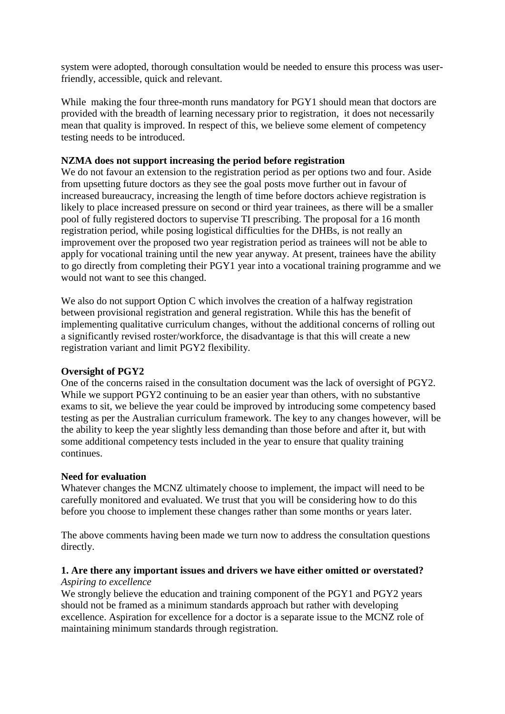system were adopted, thorough consultation would be needed to ensure this process was userfriendly, accessible, quick and relevant.

While making the four three-month runs mandatory for PGY1 should mean that doctors are provided with the breadth of learning necessary prior to registration, it does not necessarily mean that quality is improved. In respect of this, we believe some element of competency testing needs to be introduced.

## **NZMA does not support increasing the period before registration**

We do not favour an extension to the registration period as per options two and four. Aside from upsetting future doctors as they see the goal posts move further out in favour of increased bureaucracy, increasing the length of time before doctors achieve registration is likely to place increased pressure on second or third year trainees, as there will be a smaller pool of fully registered doctors to supervise TI prescribing. The proposal for a 16 month registration period, while posing logistical difficulties for the DHBs, is not really an improvement over the proposed two year registration period as trainees will not be able to apply for vocational training until the new year anyway. At present, trainees have the ability to go directly from completing their PGY1 year into a vocational training programme and we would not want to see this changed.

We also do not support Option C which involves the creation of a halfway registration between provisional registration and general registration. While this has the benefit of implementing qualitative curriculum changes, without the additional concerns of rolling out a significantly revised roster/workforce, the disadvantage is that this will create a new registration variant and limit PGY2 flexibility.

# **Oversight of PGY2**

One of the concerns raised in the consultation document was the lack of oversight of PGY2. While we support PGY2 continuing to be an easier year than others, with no substantive exams to sit, we believe the year could be improved by introducing some competency based testing as per the Australian curriculum framework. The key to any changes however, will be the ability to keep the year slightly less demanding than those before and after it, but with some additional competency tests included in the year to ensure that quality training continues.

### **Need for evaluation**

Whatever changes the MCNZ ultimately choose to implement, the impact will need to be carefully monitored and evaluated. We trust that you will be considering how to do this before you choose to implement these changes rather than some months or years later.

The above comments having been made we turn now to address the consultation questions directly.

## **1. Are there any important issues and drivers we have either omitted or overstated?** *Aspiring to excellence*

We strongly believe the education and training component of the PGY1 and PGY2 years should not be framed as a minimum standards approach but rather with developing excellence. Aspiration for excellence for a doctor is a separate issue to the MCNZ role of maintaining minimum standards through registration.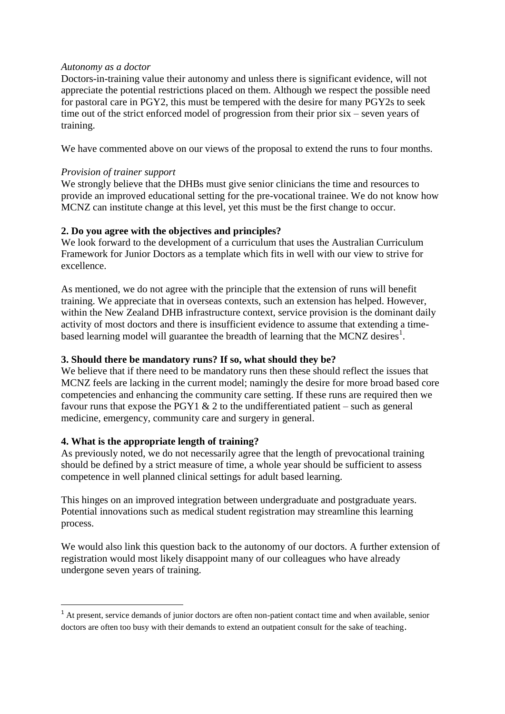#### *Autonomy as a doctor*

Doctors-in-training value their autonomy and unless there is significant evidence, will not appreciate the potential restrictions placed on them. Although we respect the possible need for pastoral care in PGY2, this must be tempered with the desire for many PGY2s to seek time out of the strict enforced model of progression from their prior six – seven years of training.

We have commented above on our views of the proposal to extend the runs to four months.

### *Provision of trainer support*

We strongly believe that the DHBs must give senior clinicians the time and resources to provide an improved educational setting for the pre-vocational trainee. We do not know how MCNZ can institute change at this level, yet this must be the first change to occur.

## **2. Do you agree with the objectives and principles?**

We look forward to the development of a curriculum that uses the Australian Curriculum Framework for Junior Doctors as a template which fits in well with our view to strive for excellence.

As mentioned, we do not agree with the principle that the extension of runs will benefit training. We appreciate that in overseas contexts, such an extension has helped. However, within the New Zealand DHB infrastructure context, service provision is the dominant daily activity of most doctors and there is insufficient evidence to assume that extending a timebased learning model will guarantee the breadth of learning that the MCNZ desires<sup>1</sup>.

### **3. Should there be mandatory runs? If so, what should they be?**

We believe that if there need to be mandatory runs then these should reflect the issues that MCNZ feels are lacking in the current model; namingly the desire for more broad based core competencies and enhancing the community care setting. If these runs are required then we favour runs that expose the PGY1  $& 2$  to the undifferentiated patient – such as general medicine, emergency, community care and surgery in general.

### **4. What is the appropriate length of training?**

**.** 

As previously noted, we do not necessarily agree that the length of prevocational training should be defined by a strict measure of time, a whole year should be sufficient to assess competence in well planned clinical settings for adult based learning.

This hinges on an improved integration between undergraduate and postgraduate years. Potential innovations such as medical student registration may streamline this learning process.

We would also link this question back to the autonomy of our doctors. A further extension of registration would most likely disappoint many of our colleagues who have already undergone seven years of training.

<sup>&</sup>lt;sup>1</sup> At present, service demands of junior doctors are often non-patient contact time and when available, senior doctors are often too busy with their demands to extend an outpatient consult for the sake of teaching.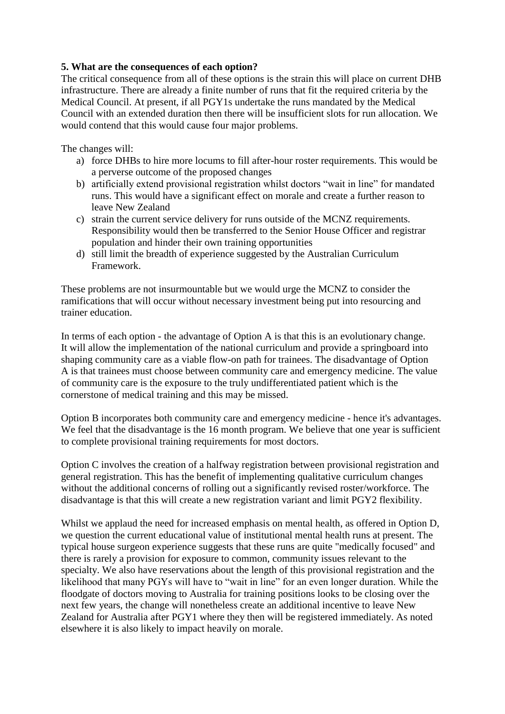# **5. What are the consequences of each option?**

The critical consequence from all of these options is the strain this will place on current DHB infrastructure. There are already a finite number of runs that fit the required criteria by the Medical Council. At present, if all PGY1s undertake the runs mandated by the Medical Council with an extended duration then there will be insufficient slots for run allocation. We would contend that this would cause four major problems.

The changes will:

- a) force DHBs to hire more locums to fill after-hour roster requirements. This would be a perverse outcome of the proposed changes
- b) artificially extend provisional registration whilst doctors "wait in line" for mandated runs. This would have a significant effect on morale and create a further reason to leave New Zealand
- c) strain the current service delivery for runs outside of the MCNZ requirements. Responsibility would then be transferred to the Senior House Officer and registrar population and hinder their own training opportunities
- d) still limit the breadth of experience suggested by the Australian Curriculum Framework.

These problems are not insurmountable but we would urge the MCNZ to consider the ramifications that will occur without necessary investment being put into resourcing and trainer education.

In terms of each option - the advantage of Option A is that this is an evolutionary change. It will allow the implementation of the national curriculum and provide a springboard into shaping community care as a viable flow-on path for trainees. The disadvantage of Option A is that trainees must choose between community care and emergency medicine. The value of community care is the exposure to the truly undifferentiated patient which is the cornerstone of medical training and this may be missed.

Option B incorporates both community care and emergency medicine - hence it's advantages. We feel that the disadvantage is the 16 month program. We believe that one year is sufficient to complete provisional training requirements for most doctors.

Option C involves the creation of a halfway registration between provisional registration and general registration. This has the benefit of implementing qualitative curriculum changes without the additional concerns of rolling out a significantly revised roster/workforce. The disadvantage is that this will create a new registration variant and limit PGY2 flexibility.

Whilst we applaud the need for increased emphasis on mental health, as offered in Option D, we question the current educational value of institutional mental health runs at present. The typical house surgeon experience suggests that these runs are quite "medically focused" and there is rarely a provision for exposure to common, community issues relevant to the specialty. We also have reservations about the length of this provisional registration and the likelihood that many PGYs will have to "wait in line" for an even longer duration. While the floodgate of doctors moving to Australia for training positions looks to be closing over the next few years, the change will nonetheless create an additional incentive to leave New Zealand for Australia after PGY1 where they then will be registered immediately. As noted elsewhere it is also likely to impact heavily on morale.